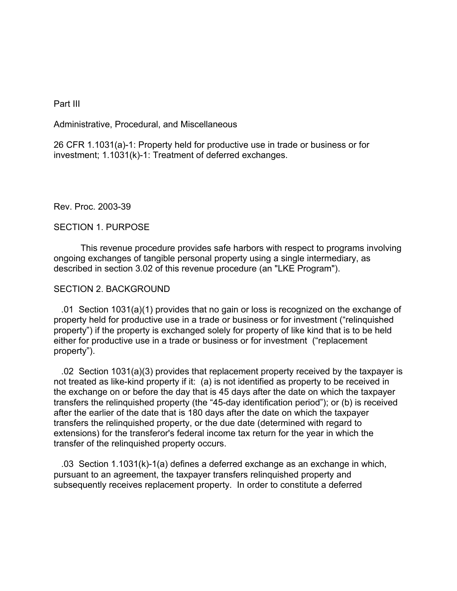Part III

Administrative, Procedural, and Miscellaneous

26 CFR 1.1031(a)-1: Property held for productive use in trade or business or for investment; 1.1031(k)-1: Treatment of deferred exchanges.

Rev. Proc. 2003-39

## SECTION 1. PURPOSE

This revenue procedure provides safe harbors with respect to programs involving ongoing exchanges of tangible personal property using a single intermediary, as described in section 3.02 of this revenue procedure (an "LKE Program").

## SECTION 2. BACKGROUND

 .01 Section 1031(a)(1) provides that no gain or loss is recognized on the exchange of property held for productive use in a trade or business or for investment ("relinquished property") if the property is exchanged solely for property of like kind that is to be held either for productive use in a trade or business or for investment ("replacement property").

 .02 Section 1031(a)(3) provides that replacement property received by the taxpayer is not treated as like-kind property if it: (a) is not identified as property to be received in the exchange on or before the day that is 45 days after the date on which the taxpayer transfers the relinquished property (the "45-day identification period"); or (b) is received after the earlier of the date that is 180 days after the date on which the taxpayer transfers the relinquished property, or the due date (determined with regard to extensions) for the transferor's federal income tax return for the year in which the transfer of the relinquished property occurs.

 .03 Section 1.1031(k)-1(a) defines a deferred exchange as an exchange in which, pursuant to an agreement, the taxpayer transfers relinquished property and subsequently receives replacement property. In order to constitute a deferred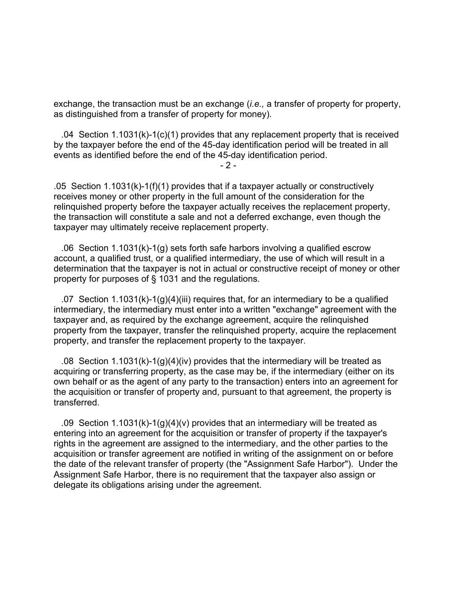exchange, the transaction must be an exchange (*i.e.,* a transfer of property for property, as distinguished from a transfer of property for money).

 .04 Section 1.1031(k)-1(c)(1) provides that any replacement property that is received by the taxpayer before the end of the 45-day identification period will be treated in all events as identified before the end of the 45-day identification period.

 $-2 -$ 

.05 Section 1.1031(k)-1(f)(1) provides that if a taxpayer actually or constructively receives money or other property in the full amount of the consideration for the relinquished property before the taxpayer actually receives the replacement property, the transaction will constitute a sale and not a deferred exchange, even though the taxpayer may ultimately receive replacement property.

 .06 Section 1.1031(k)-1(g) sets forth safe harbors involving a qualified escrow account, a qualified trust, or a qualified intermediary, the use of which will result in a determination that the taxpayer is not in actual or constructive receipt of money or other property for purposes of § 1031 and the regulations.

 .07 Section 1.1031(k)-1(g)(4)(iii) requires that, for an intermediary to be a qualified intermediary, the intermediary must enter into a written "exchange" agreement with the taxpayer and, as required by the exchange agreement, acquire the relinquished property from the taxpayer, transfer the relinquished property, acquire the replacement property, and transfer the replacement property to the taxpayer.

 .08 Section 1.1031(k)-1(g)(4)(iv) provides that the intermediary will be treated as acquiring or transferring property, as the case may be, if the intermediary (either on its own behalf or as the agent of any party to the transaction) enters into an agreement for the acquisition or transfer of property and, pursuant to that agreement, the property is transferred.

 .09 Section 1.1031(k)-1(g)(4)(v) provides that an intermediary will be treated as entering into an agreement for the acquisition or transfer of property if the taxpayer's rights in the agreement are assigned to the intermediary, and the other parties to the acquisition or transfer agreement are notified in writing of the assignment on or before the date of the relevant transfer of property (the "Assignment Safe Harbor"). Under the Assignment Safe Harbor, there is no requirement that the taxpayer also assign or delegate its obligations arising under the agreement.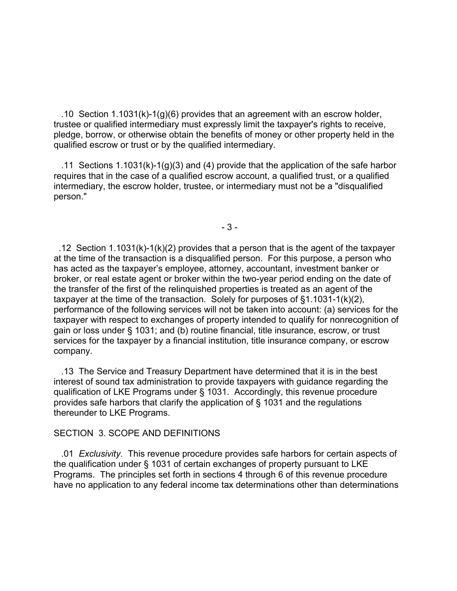.10 Section 1.1031(k)-1(g)(6) provides that an agreement with an escrow holder, trustee or qualified intermediary must expressly limit the taxpayer's rights to receive, pledge, borrow, or otherwise obtain the benefits of money or other property held in the qualified escrow or trust or by the qualified intermediary.

 .11 Sections 1.1031(k)-1(g)(3) and (4) provide that the application of the safe harbor requires that in the case of a qualified escrow account, a qualified trust, or a qualified intermediary, the escrow holder, trustee, or intermediary must not be a "disqualified person."

- 3 -

.12 Section 1.1031(k)-1(k)(2) provides that a person that is the agent of the taxpayer at the time of the transaction is a disqualified person. For this purpose, a person who has acted as the taxpayer's employee, attorney, accountant, investment banker or broker, or real estate agent or broker within the two-year period ending on the date of the transfer of the first of the relinquished properties is treated as an agent of the taxpayer at the time of the transaction. Solely for purposes of §1.1031-1(k)(2), performance of the following services will not be taken into account: (a) services for the taxpayer with respect to exchanges of property intended to qualify for nonrecognition of gain or loss under § 1031; and (b) routine financial, title insurance, escrow, or trust services for the taxpayer by a financial institution, title insurance company, or escrow company.

 .13 The Service and Treasury Department have determined that it is in the best interest of sound tax administration to provide taxpayers with guidance regarding the qualification of LKE Programs under § 1031. Accordingly, this revenue procedure provides safe harbors that clarify the application of § 1031 and the regulations thereunder to LKE Programs.

### SECTION 3. SCOPE AND DEFINITIONS

 .01 *Exclusivity*. This revenue procedure provides safe harbors for certain aspects of the qualification under § 1031 of certain exchanges of property pursuant to LKE Programs. The principles set forth in sections 4 through 6 of this revenue procedure have no application to any federal income tax determinations other than determinations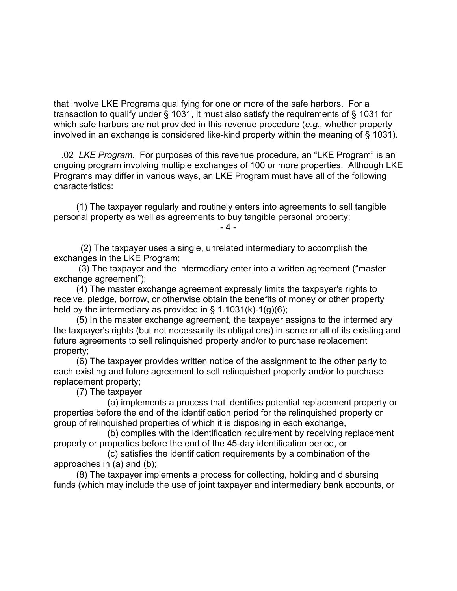that involve LKE Programs qualifying for one or more of the safe harbors. For a transaction to qualify under § 1031, it must also satisfy the requirements of § 1031 for which safe harbors are not provided in this revenue procedure (*e.g.,* whether property involved in an exchange is considered like-kind property within the meaning of § 1031).

 .02 *LKE Program*. For purposes of this revenue procedure, an "LKE Program" is an ongoing program involving multiple exchanges of 100 or more properties. Although LKE Programs may differ in various ways, an LKE Program must have all of the following characteristics:

 (1) The taxpayer regularly and routinely enters into agreements to sell tangible personal property as well as agreements to buy tangible personal property;

- 4 -

(2) The taxpayer uses a single, unrelated intermediary to accomplish the exchanges in the LKE Program;

 (3) The taxpayer and the intermediary enter into a written agreement ("master exchange agreement");

 (4) The master exchange agreement expressly limits the taxpayer's rights to receive, pledge, borrow, or otherwise obtain the benefits of money or other property held by the intermediary as provided in § 1.1031(k)-1(g)(6);

 (5) In the master exchange agreement, the taxpayer assigns to the intermediary the taxpayer's rights (but not necessarily its obligations) in some or all of its existing and future agreements to sell relinquished property and/or to purchase replacement property;

 (6) The taxpayer provides written notice of the assignment to the other party to each existing and future agreement to sell relinquished property and/or to purchase replacement property;

(7) The taxpayer

 (a) implements a process that identifies potential replacement property or properties before the end of the identification period for the relinquished property or group of relinquished properties of which it is disposing in each exchange,

(b) complies with the identification requirement by receiving replacement property or properties before the end of the 45-day identification period, or

(c) satisfies the identification requirements by a combination of the approaches in (a) and (b);

 (8) The taxpayer implements a process for collecting, holding and disbursing funds (which may include the use of joint taxpayer and intermediary bank accounts, or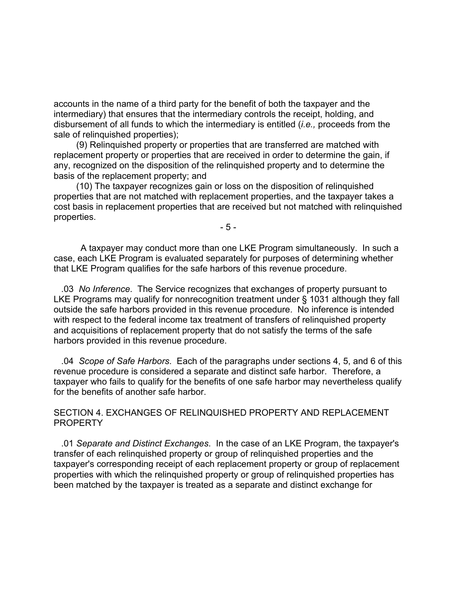accounts in the name of a third party for the benefit of both the taxpayer and the intermediary) that ensures that the intermediary controls the receipt, holding, and disbursement of all funds to which the intermediary is entitled (*i.e.,* proceeds from the sale of relinquished properties);

 (9) Relinquished property or properties that are transferred are matched with replacement property or properties that are received in order to determine the gain, if any, recognized on the disposition of the relinquished property and to determine the basis of the replacement property; and

 (10) The taxpayer recognizes gain or loss on the disposition of relinquished properties that are not matched with replacement properties, and the taxpayer takes a cost basis in replacement properties that are received but not matched with relinquished properties.

- 5 -

A taxpayer may conduct more than one LKE Program simultaneously. In such a case, each LKE Program is evaluated separately for purposes of determining whether that LKE Program qualifies for the safe harbors of this revenue procedure.

 .03 *No Inference*. The Service recognizes that exchanges of property pursuant to LKE Programs may qualify for nonrecognition treatment under § 1031 although they fall outside the safe harbors provided in this revenue procedure. No inference is intended with respect to the federal income tax treatment of transfers of relinquished property and acquisitions of replacement property that do not satisfy the terms of the safe harbors provided in this revenue procedure.

 .04 *Scope of Safe Harbors*. Each of the paragraphs under sections 4, 5, and 6 of this revenue procedure is considered a separate and distinct safe harbor. Therefore, a taxpayer who fails to qualify for the benefits of one safe harbor may nevertheless qualify for the benefits of another safe harbor.

## SECTION 4. EXCHANGES OF RELINQUISHED PROPERTY AND REPLACEMENT PROPERTY

 .01 *Separate and Distinct Exchanges*. In the case of an LKE Program, the taxpayer's transfer of each relinquished property or group of relinquished properties and the taxpayer's corresponding receipt of each replacement property or group of replacement properties with which the relinquished property or group of relinquished properties has been matched by the taxpayer is treated as a separate and distinct exchange for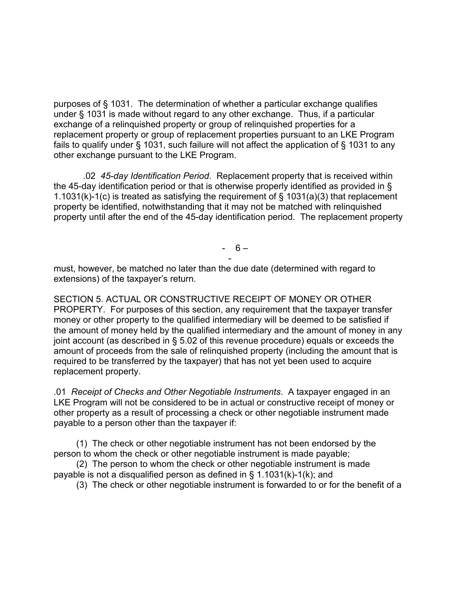purposes of § 1031. The determination of whether a particular exchange qualifies under § 1031 is made without regard to any other exchange. Thus, if a particular exchange of a relinquished property or group of relinquished properties for a replacement property or group of replacement properties pursuant to an LKE Program fails to qualify under § 1031, such failure will not affect the application of § 1031 to any other exchange pursuant to the LKE Program.

 .02 *45-day Identification Period*. Replacement property that is received within the 45-day identification period or that is otherwise properly identified as provided in § 1.1031(k)-1(c) is treated as satisfying the requirement of § 1031(a)(3) that replacement property be identified, notwithstanding that it may not be matched with relinquished property until after the end of the 45-day identification period. The replacement property

 $- 6 -$ 

 must, however, be matched no later than the due date (determined with regard to extensions) of the taxpayer's return.

SECTION 5. ACTUAL OR CONSTRUCTIVE RECEIPT OF MONEY OR OTHER PROPERTY. For purposes of this section, any requirement that the taxpayer transfer money or other property to the qualified intermediary will be deemed to be satisfied if the amount of money held by the qualified intermediary and the amount of money in any joint account (as described in § 5.02 of this revenue procedure) equals or exceeds the amount of proceeds from the sale of relinquished property (including the amount that is required to be transferred by the taxpayer) that has not yet been used to acquire replacement property.

.01 *Receipt of Checks and Other Negotiable Instruments*. A taxpayer engaged in an LKE Program will not be considered to be in actual or constructive receipt of money or other property as a result of processing a check or other negotiable instrument made payable to a person other than the taxpayer if:

 (1) The check or other negotiable instrument has not been endorsed by the person to whom the check or other negotiable instrument is made payable;

 (2) The person to whom the check or other negotiable instrument is made payable is not a disqualified person as defined in § 1.1031(k)-1(k); and

(3) The check or other negotiable instrument is forwarded to or for the benefit of a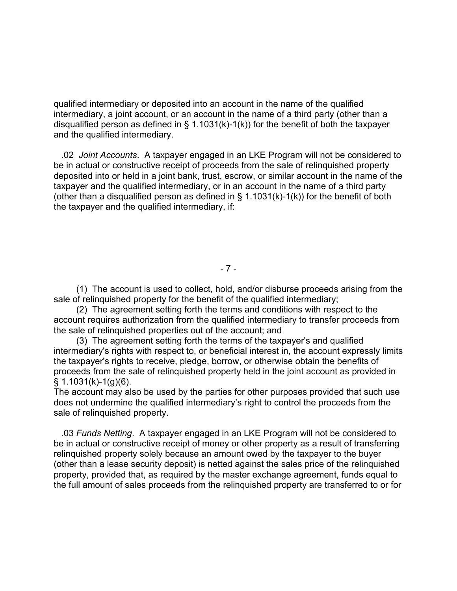qualified intermediary or deposited into an account in the name of the qualified intermediary, a joint account, or an account in the name of a third party (other than a disqualified person as defined in  $\S$  1.1031(k)-1(k)) for the benefit of both the taxpayer and the qualified intermediary.

 .02 *Joint Accounts*. A taxpayer engaged in an LKE Program will not be considered to be in actual or constructive receipt of proceeds from the sale of relinquished property deposited into or held in a joint bank, trust, escrow, or similar account in the name of the taxpayer and the qualified intermediary, or in an account in the name of a third party (other than a disqualified person as defined in  $\S$  1.1031(k)-1(k)) for the benefit of both the taxpayer and the qualified intermediary, if:

- 7 -

 (1) The account is used to collect, hold, and/or disburse proceeds arising from the sale of relinquished property for the benefit of the qualified intermediary;

 (2) The agreement setting forth the terms and conditions with respect to the account requires authorization from the qualified intermediary to transfer proceeds from the sale of relinquished properties out of the account; and

 (3) The agreement setting forth the terms of the taxpayer's and qualified intermediary's rights with respect to, or beneficial interest in, the account expressly limits the taxpayer's rights to receive, pledge, borrow, or otherwise obtain the benefits of proceeds from the sale of relinquished property held in the joint account as provided in § 1.1031(k)-1(g)(6).

The account may also be used by the parties for other purposes provided that such use does not undermine the qualified intermediary's right to control the proceeds from the sale of relinquished property.

 .03 *Funds Netting*. A taxpayer engaged in an LKE Program will not be considered to be in actual or constructive receipt of money or other property as a result of transferring relinquished property solely because an amount owed by the taxpayer to the buyer (other than a lease security deposit) is netted against the sales price of the relinquished property, provided that, as required by the master exchange agreement, funds equal to the full amount of sales proceeds from the relinquished property are transferred to or for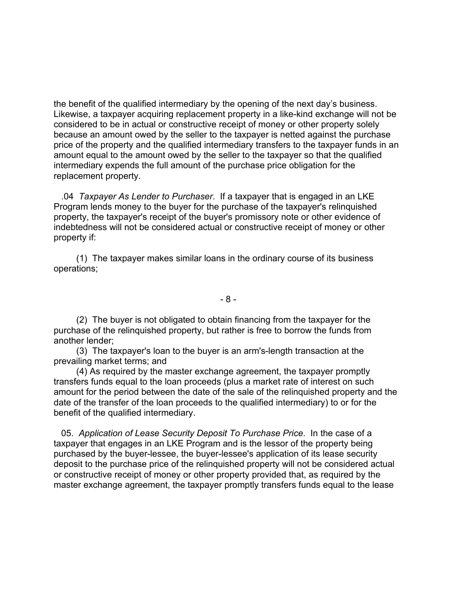the benefit of the qualified intermediary by the opening of the next day's business. Likewise, a taxpayer acquiring replacement property in a like-kind exchange will not be considered to be in actual or constructive receipt of money or other property solely because an amount owed by the seller to the taxpayer is netted against the purchase price of the property and the qualified intermediary transfers to the taxpayer funds in an amount equal to the amount owed by the seller to the taxpayer so that the qualified intermediary expends the full amount of the purchase price obligation for the replacement property.

 .04 *Taxpayer As Lender to Purchaser*. If a taxpayer that is engaged in an LKE Program lends money to the buyer for the purchase of the taxpayer's relinquished property, the taxpayer's receipt of the buyer's promissory note or other evidence of indebtedness will not be considered actual or constructive receipt of money or other property if:

 (1) The taxpayer makes similar loans in the ordinary course of its business operations;

- 8 -

 (2) The buyer is not obligated to obtain financing from the taxpayer for the purchase of the relinquished property, but rather is free to borrow the funds from another lender;

 (3) The taxpayer's loan to the buyer is an arm's-length transaction at the prevailing market terms; and

 (4) As required by the master exchange agreement, the taxpayer promptly transfers funds equal to the loan proceeds (plus a market rate of interest on such amount for the period between the date of the sale of the relinquished property and the date of the transfer of the loan proceeds to the qualified intermediary) to or for the benefit of the qualified intermediary.

 05. *Application of Lease Security Deposit To Purchase Price*. In the case of a taxpayer that engages in an LKE Program and is the lessor of the property being purchased by the buyer-lessee, the buyer-lessee's application of its lease security deposit to the purchase price of the relinquished property will not be considered actual or constructive receipt of money or other property provided that, as required by the master exchange agreement, the taxpayer promptly transfers funds equal to the lease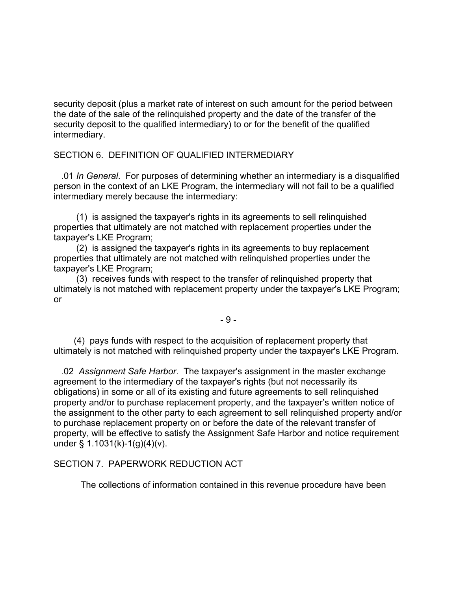security deposit (plus a market rate of interest on such amount for the period between the date of the sale of the relinquished property and the date of the transfer of the security deposit to the qualified intermediary) to or for the benefit of the qualified intermediary.

# SECTION 6. DEFINITION OF QUALIFIED INTERMEDIARY

 .01 *In General*. For purposes of determining whether an intermediary is a disqualified person in the context of an LKE Program, the intermediary will not fail to be a qualified intermediary merely because the intermediary:

 (1) is assigned the taxpayer's rights in its agreements to sell relinquished properties that ultimately are not matched with replacement properties under the taxpayer's LKE Program;

 (2) is assigned the taxpayer's rights in its agreements to buy replacement properties that ultimately are not matched with relinquished properties under the taxpayer's LKE Program;

 (3) receives funds with respect to the transfer of relinquished property that ultimately is not matched with replacement property under the taxpayer's LKE Program; or

- 9 -

 (4) pays funds with respect to the acquisition of replacement property that ultimately is not matched with relinquished property under the taxpayer's LKE Program.

 .02 *Assignment Safe Harbor*. The taxpayer's assignment in the master exchange agreement to the intermediary of the taxpayer's rights (but not necessarily its obligations) in some or all of its existing and future agreements to sell relinquished property and/or to purchase replacement property, and the taxpayer's written notice of the assignment to the other party to each agreement to sell relinquished property and/or to purchase replacement property on or before the date of the relevant transfer of property, will be effective to satisfy the Assignment Safe Harbor and notice requirement under § 1.1031(k)-1(g)(4)(v).

## SECTION 7. PAPERWORK REDUCTION ACT

The collections of information contained in this revenue procedure have been